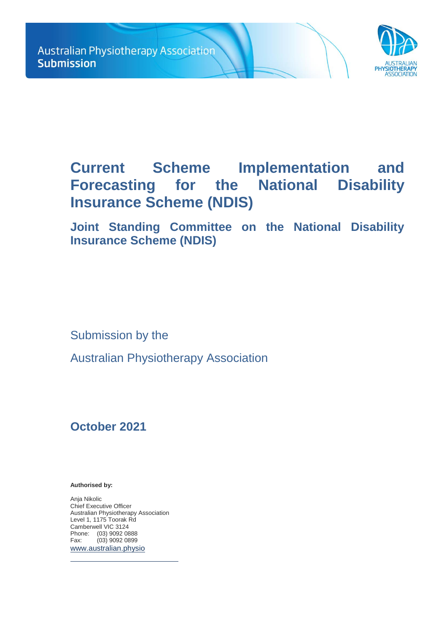

# **Current Scheme Implementation and Forecasting for the National Disability Insurance Scheme (NDIS)**

**Joint Standing Committee on the National Disability Insurance Scheme (NDIS)**

Submission by the

Australian Physiotherapy Association

## **October 2021**

**Authorised by:** 

Anja Nikolic Chief Executive Officer Australian Physiotherapy Association Level 1, 1175 Toorak Rd Camberwell VIC 3124 Phone: (03) 9092 0888<br>Fax: (03) 9092 0899  $(03)$  9092 0899 [www.australian.physio](http://www.australian.physio/)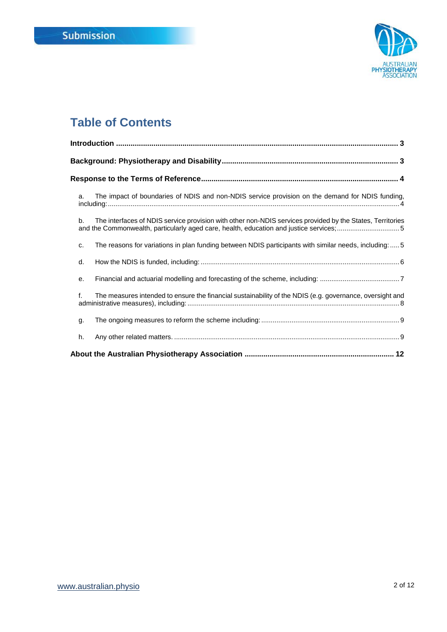

## **Table of Contents**

| The impact of boundaries of NDIS and non-NDIS service provision on the demand for NDIS funding,<br>a.                                                                                                     |
|-----------------------------------------------------------------------------------------------------------------------------------------------------------------------------------------------------------|
| The interfaces of NDIS service provision with other non-NDIS services provided by the States, Territories<br>b.<br>and the Commonwealth, particularly aged care, health, education and justice services;5 |
| The reasons for variations in plan funding between NDIS participants with similar needs, including:5<br>c.                                                                                                |
| d.                                                                                                                                                                                                        |
| е.                                                                                                                                                                                                        |
| $f_{\cdot}$<br>The measures intended to ensure the financial sustainability of the NDIS (e.g. governance, oversight and                                                                                   |
| g.                                                                                                                                                                                                        |
| h.                                                                                                                                                                                                        |
|                                                                                                                                                                                                           |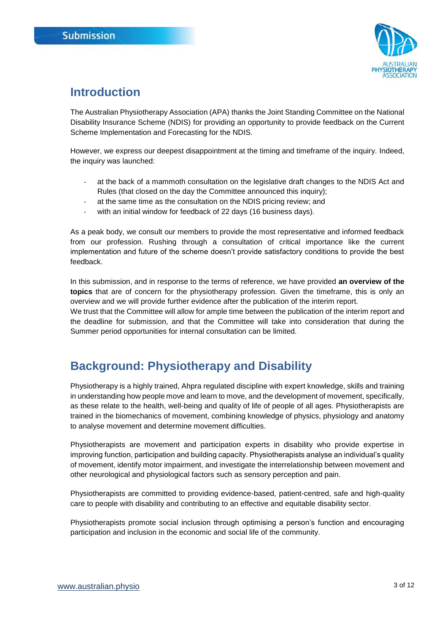

## <span id="page-2-0"></span>**Introduction**

The Australian Physiotherapy Association (APA) thanks the Joint Standing Committee on the National Disability Insurance Scheme (NDIS) for providing an opportunity to provide feedback on the Current Scheme Implementation and Forecasting for the NDIS.

However, we express our deepest disappointment at the timing and timeframe of the inquiry. Indeed, the inquiry was launched:

- at the back of a mammoth consultation on the legislative draft changes to the NDIS Act and Rules (that closed on the day the Committee announced this inquiry);
- at the same time as the consultation on the NDIS pricing review; and
- with an initial window for feedback of 22 days (16 business days).

As a peak body, we consult our members to provide the most representative and informed feedback from our profession. Rushing through a consultation of critical importance like the current implementation and future of the scheme doesn't provide satisfactory conditions to provide the best feedback.

In this submission, and in response to the terms of reference, we have provided **an overview of the topics** that are of concern for the physiotherapy profession. Given the timeframe, this is only an overview and we will provide further evidence after the publication of the interim report.

We trust that the Committee will allow for ample time between the publication of the interim report and the deadline for submission, and that the Committee will take into consideration that during the Summer period opportunities for internal consultation can be limited.

## <span id="page-2-1"></span>**Background: Physiotherapy and Disability**

Physiotherapy is a highly trained, Ahpra regulated discipline with expert knowledge, skills and training in understanding how people move and learn to move, and the development of movement, specifically, as these relate to the health, well-being and quality of life of people of all ages. Physiotherapists are trained in the biomechanics of movement, combining knowledge of physics, physiology and anatomy to analyse movement and determine movement difficulties.

Physiotherapists are movement and participation experts in disability who provide expertise in improving function, participation and building capacity. Physiotherapists analyse an individual's quality of movement, identify motor impairment, and investigate the interrelationship between movement and other neurological and physiological factors such as sensory perception and pain.

Physiotherapists are committed to providing evidence-based, patient-centred, safe and high-quality care to people with disability and contributing to an effective and equitable disability sector.

Physiotherapists promote social inclusion through optimising a person's function and encouraging participation and inclusion in the economic and social life of the community.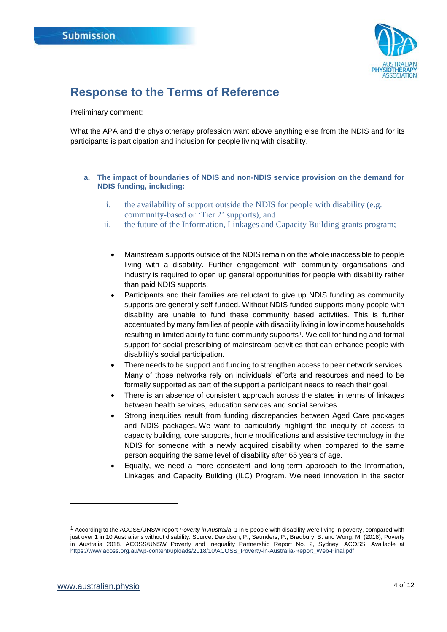

### <span id="page-3-0"></span>**Response to the Terms of Reference**

Preliminary comment:

What the APA and the physiotherapy profession want above anything else from the NDIS and for its participants is participation and inclusion for people living with disability.

#### <span id="page-3-1"></span>**a. The impact of boundaries of NDIS and non-NDIS service provision on the demand for NDIS funding, including:**

- i. the availability of support outside the NDIS for people with disability (e.g. community-based or 'Tier 2' supports), and
- ii. the future of the Information, Linkages and Capacity Building grants program;
	- Mainstream supports outside of the NDIS remain on the whole inaccessible to people living with a disability. Further engagement with community organisations and industry is required to open up general opportunities for people with disability rather than paid NDIS supports.
	- Participants and their families are reluctant to give up NDIS funding as community supports are generally self-funded. Without NDIS funded supports many people with disability are unable to fund these community based activities. This is further accentuated by many families of people with disability living in low income households resulting in limited ability to fund community supports<sup>1</sup>. We call for funding and formal support for social prescribing of mainstream activities that can enhance people with disability's social participation.
	- There needs to be support and funding to strengthen access to peer network services. Many of those networks rely on individuals' efforts and resources and need to be formally supported as part of the support a participant needs to reach their goal.
	- There is an absence of consistent approach across the states in terms of linkages between health services, education services and social services.
	- Strong inequities result from funding discrepancies between Aged Care packages and NDIS packages. We want to particularly highlight the inequity of access to capacity building, core supports, home modifications and assistive technology in the NDIS for someone with a newly acquired disability when compared to the same person acquiring the same level of disability after 65 years of age.
	- Equally, we need a more consistent and long-term approach to the Information, Linkages and Capacity Building (ILC) Program. We need innovation in the sector

l

<sup>1</sup> According to the ACOSS/UNSW report *Poverty in Australia*, 1 in 6 people with disability were living in poverty, compared with just over 1 in 10 Australians without disability. Source: Davidson, P., Saunders, P., Bradbury, B. and Wong, M. (2018), Poverty in Australia 2018. ACOSS/UNSW Poverty and Inequality Partnership Report No. 2, Sydney: ACOSS. Available at [https://www.acoss.org.au/wp-content/uploads/2018/10/ACOSS\\_Poverty-in-Australia-Report\\_Web-Final.pdf](https://www.acoss.org.au/wp-content/uploads/2018/10/ACOSS_Poverty-in-Australia-Report_Web-Final.pdf)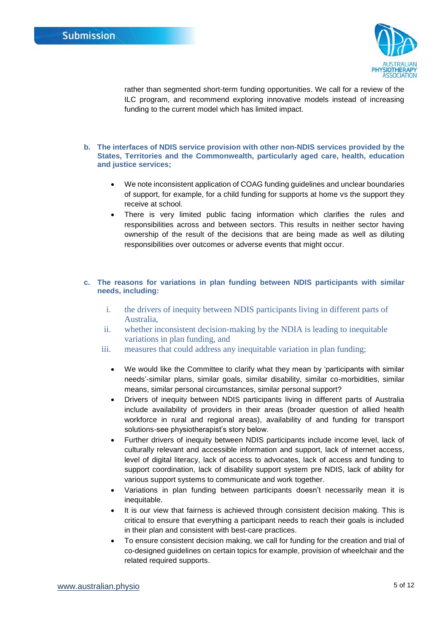

rather than segmented short-term funding opportunities. We call for a review of the ILC program, and recommend exploring innovative models instead of increasing funding to the current model which has limited impact.

- <span id="page-4-0"></span>**b. The interfaces of NDIS service provision with other non-NDIS services provided by the States, Territories and the Commonwealth, particularly aged care, health, education and justice services;**
	- We note inconsistent application of COAG funding guidelines and unclear boundaries of support, for example, for a child funding for supports at home vs the support they receive at school.
	- There is very limited public facing information which clarifies the rules and responsibilities across and between sectors. This results in neither sector having ownership of the result of the decisions that are being made as well as diluting responsibilities over outcomes or adverse events that might occur.

#### <span id="page-4-1"></span>**c. The reasons for variations in plan funding between NDIS participants with similar needs, including:**

- i. the drivers of inequity between NDIS participants living in different parts of Australia,
- ii. whether inconsistent decision-making by the NDIA is leading to inequitable variations in plan funding, and
- iii. measures that could address any inequitable variation in plan funding;
	- We would like the Committee to clarify what they mean by 'participants with similar needs'-similar plans, similar goals, similar disability, similar co-morbidities, similar means, similar personal circumstances, similar personal support?
	- Drivers of inequity between NDIS participants living in different parts of Australia include availability of providers in their areas (broader question of allied health workforce in rural and regional areas), availability of and funding for transport solutions-see physiotherapist's story below.
	- Further drivers of inequity between NDIS participants include income level, lack of culturally relevant and accessible information and support, lack of internet access, level of digital literacy, lack of access to advocates, lack of access and funding to support coordination, lack of disability support system pre NDIS, lack of ability for various support systems to communicate and work together.
	- Variations in plan funding between participants doesn't necessarily mean it is inequitable.
	- It is our view that fairness is achieved through consistent decision making. This is critical to ensure that everything a participant needs to reach their goals is included in their plan and consistent with best-care practices.
	- To ensure consistent decision making, we call for funding for the creation and trial of co-designed guidelines on certain topics for example, provision of wheelchair and the related required supports.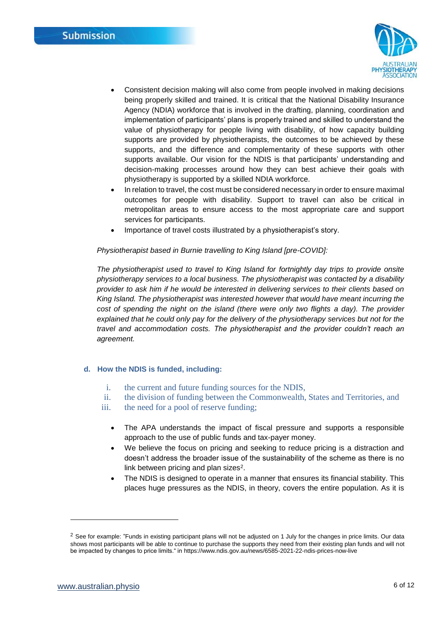

- Consistent decision making will also come from people involved in making decisions being properly skilled and trained. It is critical that the National Disability Insurance Agency (NDIA) workforce that is involved in the drafting, planning, coordination and implementation of participants' plans is properly trained and skilled to understand the value of physiotherapy for people living with disability, of how capacity building supports are provided by physiotherapists, the outcomes to be achieved by these supports, and the difference and complementarity of these supports with other supports available. Our vision for the NDIS is that participants' understanding and decision-making processes around how they can best achieve their goals with physiotherapy is supported by a skilled NDIA workforce.
- In relation to travel, the cost must be considered necessary in order to ensure maximal outcomes for people with disability. Support to travel can also be critical in metropolitan areas to ensure access to the most appropriate care and support services for participants.
- Importance of travel costs illustrated by a physiotherapist's story.

#### *Physiotherapist based in Burnie travelling to King Island [pre-COVID]:*

*The physiotherapist used to travel to King Island for fortnightly day trips to provide onsite physiotherapy services to a local business. The physiotherapist was contacted by a disability provider to ask him if he would be interested in delivering services to their clients based on King Island. The physiotherapist was interested however that would have meant incurring the cost of spending the night on the island (there were only two flights a day). The provider explained that he could only pay for the delivery of the physiotherapy services but not for the travel and accommodation costs. The physiotherapist and the provider couldn't reach an agreement.*

#### <span id="page-5-0"></span>**d. How the NDIS is funded, including:**

- i. the current and future funding sources for the NDIS,
- ii. the division of funding between the Commonwealth, States and Territories, and
- iii. the need for a pool of reserve funding;
	- The APA understands the impact of fiscal pressure and supports a responsible approach to the use of public funds and tax-payer money.
	- We believe the focus on pricing and seeking to reduce pricing is a distraction and doesn't address the broader issue of the sustainability of the scheme as there is no link between pricing and plan sizes $2$ .
	- The NDIS is designed to operate in a manner that ensures its financial stability. This places huge pressures as the NDIS, in theory, covers the entire population. As it is

-

<sup>&</sup>lt;sup>2</sup> See for example: "Funds in existing participant plans will not be adjusted on 1 July for the changes in price limits. Our data shows most participants will be able to continue to purchase the supports they need from their existing plan funds and will not be impacted by changes to price limits." i[n https://www.ndis.gov.au/news/6585-2021-22-ndis-prices-now-live](https://www.ndis.gov.au/news/6585-2021-22-ndis-prices-now-live)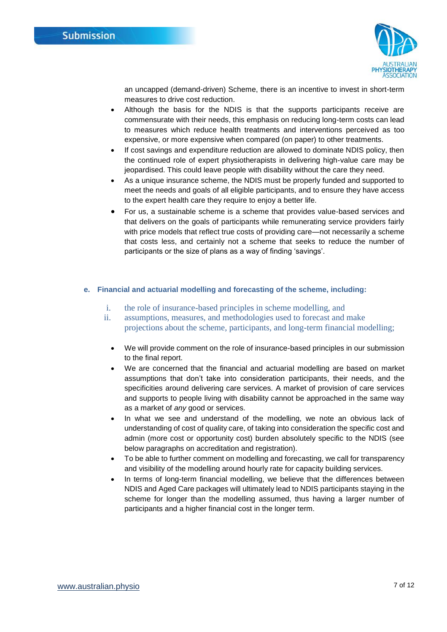

an uncapped (demand-driven) Scheme, there is an incentive to invest in short-term measures to drive cost reduction.

- Although the basis for the NDIS is that the supports participants receive are commensurate with their needs, this emphasis on reducing long-term costs can lead to measures which reduce health treatments and interventions perceived as too expensive, or more expensive when compared (on paper) to other treatments.
- If cost savings and expenditure reduction are allowed to dominate NDIS policy, then the continued role of expert physiotherapists in delivering high-value care may be jeopardised. This could leave people with disability without the care they need.
- As a unique insurance scheme, the NDIS must be properly funded and supported to meet the needs and goals of all eligible participants, and to ensure they have access to the expert health care they require to enjoy a better life.
- For us, a sustainable scheme is a scheme that provides value-based services and that delivers on the goals of participants while remunerating service providers fairly with price models that reflect true costs of providing care—not necessarily a scheme that costs less, and certainly not a scheme that seeks to reduce the number of participants or the size of plans as a way of finding 'savings'.

#### <span id="page-6-0"></span>**e. Financial and actuarial modelling and forecasting of the scheme, including:**

- i. the role of insurance-based principles in scheme modelling, and
- ii. assumptions, measures, and methodologies used to forecast and make projections about the scheme, participants, and long-term financial modelling;
	- We will provide comment on the role of insurance-based principles in our submission to the final report.
	- We are concerned that the financial and actuarial modelling are based on market assumptions that don't take into consideration participants, their needs, and the specificities around delivering care services. A market of provision of care services and supports to people living with disability cannot be approached in the same way as a market of *any* good or services.
	- In what we see and understand of the modelling, we note an obvious lack of understanding of cost of quality care, of taking into consideration the specific cost and admin (more cost or opportunity cost) burden absolutely specific to the NDIS (see below paragraphs on accreditation and registration).
	- To be able to further comment on modelling and forecasting, we call for transparency and visibility of the modelling around hourly rate for capacity building services.
	- In terms of long-term financial modelling, we believe that the differences between NDIS and Aged Care packages will ultimately lead to NDIS participants staying in the scheme for longer than the modelling assumed, thus having a larger number of participants and a higher financial cost in the longer term.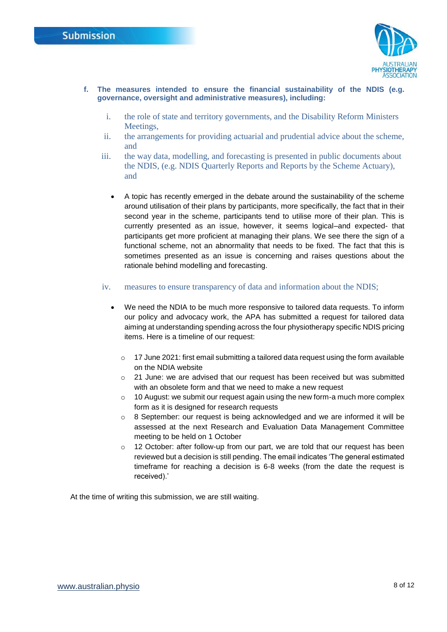

- <span id="page-7-0"></span>**f. The measures intended to ensure the financial sustainability of the NDIS (e.g. governance, oversight and administrative measures), including:**
	- i. the role of state and territory governments, and the Disability Reform Ministers Meeting<sub>s</sub>.
	- ii. the arrangements for providing actuarial and prudential advice about the scheme, and
	- iii. the way data, modelling, and forecasting is presented in public documents about the NDIS, (e.g. NDIS Quarterly Reports and Reports by the Scheme Actuary), and
		- A topic has recently emerged in the debate around the sustainability of the scheme around utilisation of their plans by participants, more specifically, the fact that in their second year in the scheme, participants tend to utilise more of their plan. This is currently presented as an issue, however, it seems logical–and expected- that participants get more proficient at managing their plans. We see there the sign of a functional scheme, not an abnormality that needs to be fixed. The fact that this is sometimes presented as an issue is concerning and raises questions about the rationale behind modelling and forecasting.
	- iv. measures to ensure transparency of data and information about the NDIS;
		- We need the NDIA to be much more responsive to tailored data requests. To inform our policy and advocacy work, the APA has submitted a request for tailored data aiming at understanding spending across the four physiotherapy specific NDIS pricing items. Here is a timeline of our request:
			- $\circ$  17 June 2021: first email submitting a tailored data request using the form available on the NDIA website
			- $\circ$  21 June: we are advised that our request has been received but was submitted with an obsolete form and that we need to make a new request
			- $\circ$  10 August: we submit our request again using the new form-a much more complex form as it is designed for research requests
			- $\circ$  8 September: our request is being acknowledged and we are informed it will be assessed at the next Research and Evaluation Data Management Committee meeting to be held on 1 October
			- $\circ$  12 October: after follow-up from our part, we are told that our request has been reviewed but a decision is still pending. The email indicates 'The general estimated timeframe for reaching a decision is 6-8 weeks (from the date the request is received).'

At the time of writing this submission, we are still waiting.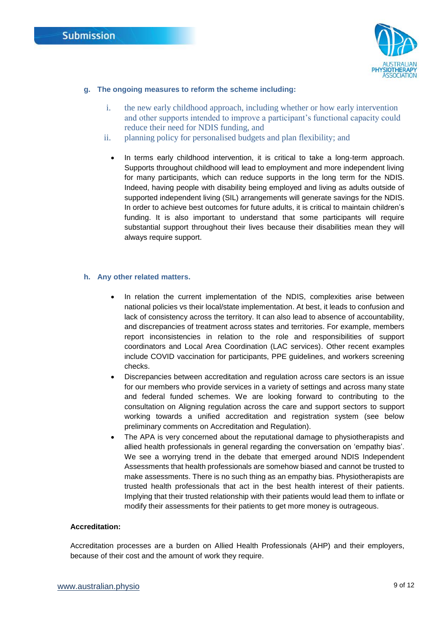

#### <span id="page-8-0"></span>**g. The ongoing measures to reform the scheme including:**

- i. the new early childhood approach, including whether or how early intervention and other supports intended to improve a participant's functional capacity could reduce their need for NDIS funding, and
- ii. planning policy for personalised budgets and plan flexibility; and
	- In terms early childhood intervention, it is critical to take a long-term approach. Supports throughout childhood will lead to employment and more independent living for many participants, which can reduce supports in the long term for the NDIS. Indeed, having people with disability being employed and living as adults outside of supported independent living (SIL) arrangements will generate savings for the NDIS. In order to achieve best outcomes for future adults, it is critical to maintain children's funding. It is also important to understand that some participants will require substantial support throughout their lives because their disabilities mean they will always require support.

#### <span id="page-8-1"></span>**h. Any other related matters.**

- In relation the current implementation of the NDIS, complexities arise between national policies vs their local/state implementation. At best, it leads to confusion and lack of consistency across the territory. It can also lead to absence of accountability, and discrepancies of treatment across states and territories. For example, members report inconsistencies in relation to the role and responsibilities of support coordinators and Local Area Coordination (LAC services). Other recent examples include COVID vaccination for participants, PPE guidelines, and workers screening checks.
- Discrepancies between accreditation and regulation across care sectors is an issue for our members who provide services in a variety of settings and across many state and federal funded schemes. We are looking forward to contributing to the consultation on Aligning regulation across the care and support sectors to support working towards a unified accreditation and registration system (see below preliminary comments on Accreditation and Regulation).
- The APA is very concerned about the reputational damage to physiotherapists and allied health professionals in general regarding the conversation on 'empathy bias'. We see a worrying trend in the debate that emerged around NDIS Independent Assessments that health professionals are somehow biased and cannot be trusted to make assessments. There is no such thing as an empathy bias. Physiotherapists are trusted health professionals that act in the best health interest of their patients. Implying that their trusted relationship with their patients would lead them to inflate or modify their assessments for their patients to get more money is outrageous.

#### **Accreditation:**

Accreditation processes are a burden on Allied Health Professionals (AHP) and their employers, because of their cost and the amount of work they require.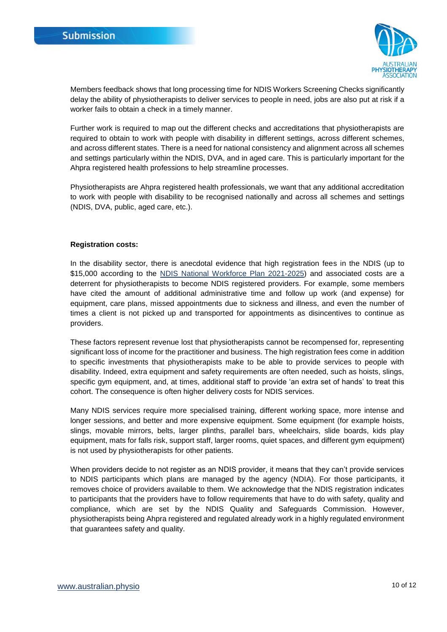

Members feedback shows that long processing time for NDIS Workers Screening Checks significantly delay the ability of physiotherapists to deliver services to people in need, jobs are also put at risk if a worker fails to obtain a check in a timely manner.

Further work is required to map out the different checks and accreditations that physiotherapists are required to obtain to work with people with disability in different settings, across different schemes, and across different states. There is a need for national consistency and alignment across all schemes and settings particularly within the NDIS, DVA, and in aged care. This is particularly important for the Ahpra registered health professions to help streamline processes.

Physiotherapists are Ahpra registered health professionals, we want that any additional accreditation to work with people with disability to be recognised nationally and across all schemes and settings (NDIS, DVA, public, aged care, etc.).

#### **Registration costs:**

In the disability sector, there is anecdotal evidence that high registration fees in the NDIS (up to \$15,000 according to the [NDIS National Workforce Plan 2021-2025\)](https://www.dss.gov.au/sites/default/files/documents/06_2021/ndis-national-workforce-plan-2021-2025.pdf) and associated costs are a deterrent for physiotherapists to become NDIS registered providers. For example, some members have cited the amount of additional administrative time and follow up work (and expense) for equipment, care plans, missed appointments due to sickness and illness, and even the number of times a client is not picked up and transported for appointments as disincentives to continue as providers.

These factors represent revenue lost that physiotherapists cannot be recompensed for, representing significant loss of income for the practitioner and business. The high registration fees come in addition to specific investments that physiotherapists make to be able to provide services to people with disability. Indeed, extra equipment and safety requirements are often needed, such as hoists, slings, specific gym equipment, and, at times, additional staff to provide 'an extra set of hands' to treat this cohort. The consequence is often higher delivery costs for NDIS services.

Many NDIS services require more specialised training, different working space, more intense and longer sessions, and better and more expensive equipment. Some equipment (for example hoists, slings, movable mirrors, belts, larger plinths, parallel bars, wheelchairs, slide boards, kids play equipment, mats for falls risk, support staff, larger rooms, quiet spaces, and different gym equipment) is not used by physiotherapists for other patients.

When providers decide to not register as an NDIS provider, it means that they can't provide services to NDIS participants which plans are managed by the agency (NDIA). For those participants, it removes choice of providers available to them. We acknowledge that the NDIS registration indicates to participants that the providers have to follow requirements that have to do with safety, quality and compliance, which are set by the NDIS Quality and Safeguards Commission. However, physiotherapists being Ahpra registered and regulated already work in a highly regulated environment that guarantees safety and quality.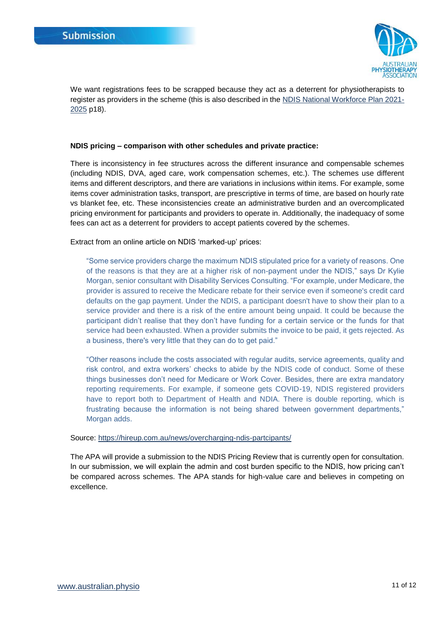

We want registrations fees to be scrapped because they act as a deterrent for physiotherapists to register as providers in the scheme (this is also described in the [NDIS National Workforce Plan 2021-](https://www.dss.gov.au/sites/default/files/documents/06_2021/ndis-national-workforce-plan-2021-2025.pdf) [2025](https://www.dss.gov.au/sites/default/files/documents/06_2021/ndis-national-workforce-plan-2021-2025.pdf) p18).

#### **NDIS pricing – comparison with other schedules and private practice:**

There is inconsistency in fee structures across the different insurance and compensable schemes (including NDIS, DVA, aged care, work compensation schemes, etc.). The schemes use different items and different descriptors, and there are variations in inclusions within items. For example, some items cover administration tasks, transport, are prescriptive in terms of time, are based on hourly rate vs blanket fee, etc. These inconsistencies create an administrative burden and an overcomplicated pricing environment for participants and providers to operate in. Additionally, the inadequacy of some fees can act as a deterrent for providers to accept patients covered by the schemes.

Extract from an online article on NDIS 'marked-up' prices:

"Some service providers charge the maximum NDIS stipulated price for a variety of reasons. One of the reasons is that they are at a higher risk of non-payment under the NDIS," says Dr Kylie Morgan, senior consultant with Disability Services Consulting. "For example, under Medicare, the provider is assured to receive the Medicare rebate for their service even if someone's credit card defaults on the gap payment. Under the NDIS, a participant doesn't have to show their plan to a service provider and there is a risk of the entire amount being unpaid. It could be because the participant didn't realise that they don't have funding for a certain service or the funds for that service had been exhausted. When a provider submits the invoice to be paid, it gets rejected. As a business, there's very little that they can do to get paid."

"Other reasons include the costs associated with regular audits, service agreements, quality and risk control, and extra workers' checks to abide by the NDIS code of conduct. Some of these things businesses don't need for Medicare or Work Cover. Besides, there are extra mandatory reporting requirements. For example, if someone gets COVID-19, NDIS registered providers have to report both to Department of Health and NDIA. There is double reporting, which is frustrating because the information is not being shared between government departments," Morgan adds.

#### Source:<https://hireup.com.au/news/overcharging-ndis-partcipants/>

The APA will provide a submission to the NDIS Pricing Review that is currently open for consultation. In our submission, we will explain the admin and cost burden specific to the NDIS, how pricing can't be compared across schemes. The APA stands for high-value care and believes in competing on excellence.